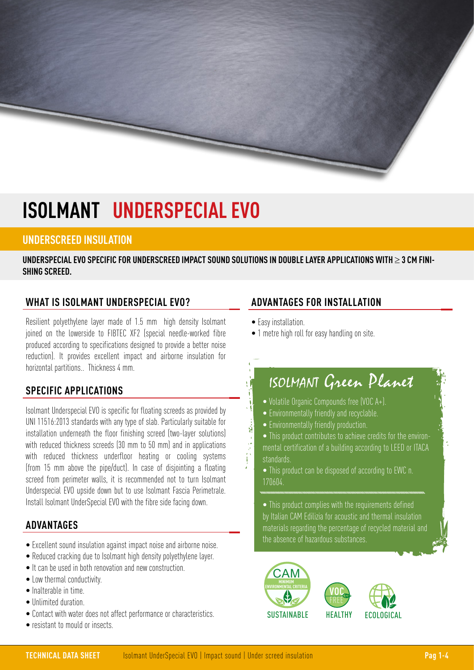# **ISOLMANT UNDERSPECIAL EVO**

## **UNDERSCREED INSULATION**

**UNDERSPECIAL EVO SPECIFIC FOR UNDERSCREED IMPACT SOUND SOLUTIONS IN DOUBLE LAYER APPLICATIONS WITH** ≥ **3 CM FINI-SHING SCREED.**

### **WHAT IS ISOLMANT UNDERSPECIAL EVO?**

Resilient polyethylene layer made of 1.5 mm high density Isolmant joined on the lowerside to FIBTEC XF2 (special needle-worked fibre produced according to specifications designed to provide a better noise reduction). It provides excellent impact and airborne insulation for horizontal partitions.. Thickness 4 mm.

### **SPECIFIC APPLICATIONS**

Isolmant Underspecial EVO is specific for floating screeds as provided by UNI 11516:2013 standards with any type of slab. Particularly suitable for installation underneath the floor finishing screed (two-layer solutions) with reduced thickness screeds (30 mm to 50 mm) and in applications with reduced thickness underfloor heating or cooling systems (from 15 mm above the pipe/duct). In case of disjointing a floating screed from perimeter walls, it is recommended not to turn Isolmant Underspecial EVO upside down but to use Isolmant Fascia Perimetrale. Install Isolmant UnderSpecial EVO with the fibre side facing down.

### **ADVANTAGES**

- Excellent sound insulation against impact noise and airborne noise.
- Reduced cracking due to Isolmant high density polyethylene layer.
- It can be used in both renovation and new construction.
- Low thermal conductivity.
- Inalterable in time.
- Unlimited duration.
- Contact with water does not affect performance or characteristics.
- resistant to mould or insects.

## **ADVANTAGES FOR INSTALLATION**

• Easy installation.

這樣

• 1 metre high roll for easy handling on site.

## ISOLMANT Green Planet

- Volatile Organic Compounds free (VOC A+).
- Environmentally friendly and recyclable.
- Environmentally friendly production.
- This product contributes to achieve credits for the environmental certification of a building according to LEED or ITACA standards.
- This product can be disposed of according to EWC n. 170604.
- This product complies with the requirements defined by Italian CAM Edilizia for acoustic and thermal insulation materials regarding the percentage of recycled material and the absence of hazardous substances.

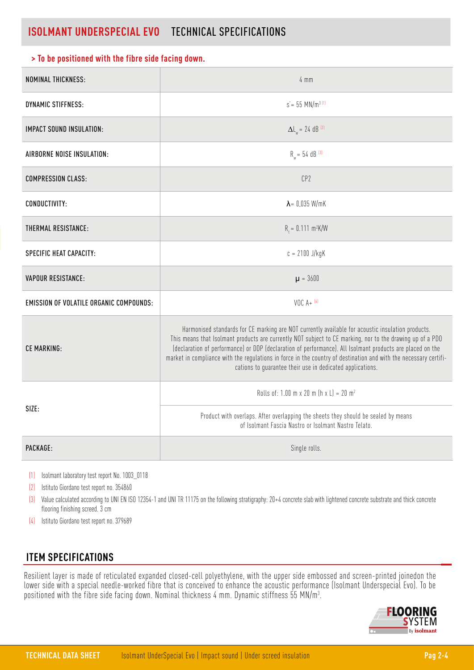## **ISOLMANT UNDERSPECIAL EVO** TECHNICAL SPECIFICATIONS

#### **> To be positioned with the fibre side facing down.**

| NOMINAL THICKNESS:                             | $4 \, \text{mm}$                                                                                                                                                                                                                                                                                                                                                                                                                                                                                             |
|------------------------------------------------|--------------------------------------------------------------------------------------------------------------------------------------------------------------------------------------------------------------------------------------------------------------------------------------------------------------------------------------------------------------------------------------------------------------------------------------------------------------------------------------------------------------|
| <b>DYNAMIC STIFFNESS:</b>                      | $s = 55$ MN/m <sup>3 (1)</sup>                                                                                                                                                                                                                                                                                                                                                                                                                                                                               |
| <b>IMPACT SOUND INSULATION:</b>                | $\Delta L_w = 24$ dB <sup>(2)</sup>                                                                                                                                                                                                                                                                                                                                                                                                                                                                          |
| AIRBORNE NOISE INSULATION:                     | $R_w = 54$ dB <sup>[3]</sup>                                                                                                                                                                                                                                                                                                                                                                                                                                                                                 |
| <b>COMPRESSION CLASS:</b>                      | CP2                                                                                                                                                                                                                                                                                                                                                                                                                                                                                                          |
| CONDUCTIVITY:                                  | $\lambda$ = 0,035 W/mK                                                                                                                                                                                                                                                                                                                                                                                                                                                                                       |
| THERMAL RESISTANCE:                            | $R_+ = 0.111 \text{ m}^2 \text{K/W}$                                                                                                                                                                                                                                                                                                                                                                                                                                                                         |
| SPECIFIC HEAT CAPACITY:                        | $c = 2100$ J/kgK                                                                                                                                                                                                                                                                                                                                                                                                                                                                                             |
| <b>VAPOUR RESISTANCE:</b>                      | $\mu = 3600$                                                                                                                                                                                                                                                                                                                                                                                                                                                                                                 |
| <b>EMISSION OF VOLATILE ORGANIC COMPOUNDS:</b> | $VOC A+ {}^{(4)}$                                                                                                                                                                                                                                                                                                                                                                                                                                                                                            |
| CE MARKING:                                    | Harmonised standards for CE marking are NOT currently available for acoustic insulation products.<br>This means that Isolmant products are currently NOT subject to CE marking, nor to the drawing up of a PDO<br>(declaration of performance) or DDP (declaration of performance). All Isolmant products are placed on the<br>market in compliance with the regulations in force in the country of destination and with the necessary certifi-<br>cations to guarantee their use in dedicated applications. |
| SIZE:                                          | Rolls of: 1.00 m x 20 m $(h x L) = 20 m2$                                                                                                                                                                                                                                                                                                                                                                                                                                                                    |
|                                                | Product with overlaps. After overlapping the sheets they should be sealed by means<br>of Isolmant Fascia Nastro or Isolmant Nastro Telato.                                                                                                                                                                                                                                                                                                                                                                   |
| PACKAGE:                                       | Single rolls.                                                                                                                                                                                                                                                                                                                                                                                                                                                                                                |

(1) Isolmant laboratory test report No. 1003\_0118

(2) Istituto Giordano test report no. 354860

(3) Value calculated according to UNI EN ISO 12354-1 and UNI TR 11175 on the following stratigraphy: 20+4 concrete slab with lightened concrete substrate and thick concrete flooring finishing screed. 3 cm

(4) Istituto Giordano test report no. 379689

### **ITEM SPECIFICATIONS**

Resilient layer is made of reticulated expanded closed-cell polyethylene, with the upper side embossed and screen-printed joinedon the lower side with a special needle-worked fibre that is conceived to enhance the acoustic performance (Isolmant Underspecial Evo). To be positioned with the fibre side facing down. Nominal thickness 4 mm. Dynamic stiffness 55 MN/m3 .

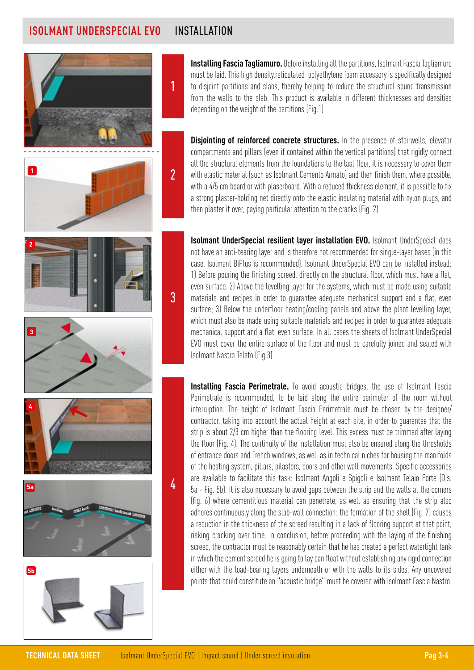## **ISOLMANT UNDERSPECIAL EVO** INSTALLATION



**Installing Fascia Tagliamuro.** Before installing all the partitions, Isolmant Fascia Tagliamuro must be laid. This high density,reticulated polyethylene foam accessory is specifically designed to disjoint partitions and slabs, thereby helping to reduce the structural sound transmission from the walls to the slab. This product is available in different thicknesses and densities depending on the weight of the partitions (Fig.1)

**Disjointing of reinforced concrete structures.** In the presence of stairwells, elevator compartments and pillars (even if contained within the vertical partitions) that rigidly connect all the structural elements from the foundations to the last floor, it is necessary to cover them with elastic material (such as Isolmant Cemento Armato) and then finish them, where possible, with a 4/5 cm board or with plaserboard. With a reduced thickness element, it is possible to fix a strong plaster-holding net directly onto the elastic insulating material with nylon plugs, and then plaster it over, paying particular attention to the cracks (Fig. 2).

**Isolmant UnderSpecial resilient layer installation EVO.** Isolmant UnderSpecial does not have an anti-tearing layer and is therefore not recommended for single-layer bases (in this case, Isolmant BiPlus is recommended). Isolmant UnderSpecial EVO can be installed instead: 1) Before pouring the finishing screed, directly on the structural floor, which must have a flat, even surface. 2) Above the levelling layer for the systems, which must be made using suitable materials and recipes in order to guarantee adequate mechanical support and a flat, even surface; 3) Below the underfloor heating/cooling panels and above the plant levelling layer, which must also be made using suitable materials and recipes in order to guarantee adequate mechanical support and a flat, even surface. In all cases the sheets of Isolmant UnderSpecial EVO must cover the entire surface of the floor and must be carefully joined and sealed with Isolmant Nastro Telato (Fig.3).

**Installing Fascia Perimetrale.** To avoid acoustic bridges, the use of Isolmant Fascia Perimetrale is recommended, to be laid along the entire perimeter of the room without interruption. The height of Isolmant Fascia Perimetrale must be chosen by the designer/ contractor, taking into account the actual height at each site, in order to guarantee that the strip is about 2/3 cm higher than the flooring level. This excess must be trimmed after laying the floor (Fig. 4). The continuity of the installation must also be ensured along the thresholds of entrance doors and French windows, as well as in technical niches for housing the manifolds of the heating system, pillars, pilasters, doors and other wall movements. Specific accessories are available to facilitate this task: Isolmant Angoli e Spigoli e Isolmant Telaio Porte (Dis. 5a - Fig. 5b). It is also necessary to avoid gaps between the strip and the walls at the corners (fig. 6) where cementitious material can penetrate, as well as ensuring that the strip also adheres continuously along the slab-wall connection: the formation of the shell (Fig. 7) causes a reduction in the thickness of the screed resulting in a lack of flooring support at that point, risking cracking over time. In conclusion, before proceeding with the laying of the finishing screed, the contractor must be reasonably certain that he has created a perfect watertight tank in which the cement screed he is going to lay can float without establishing any rigid connection either with the load-bearing layers underneath or with the walls to its sides. Any uncovered points that could constitute an "acoustic bridge" must be covered with Isolmant Fascia Nastro.